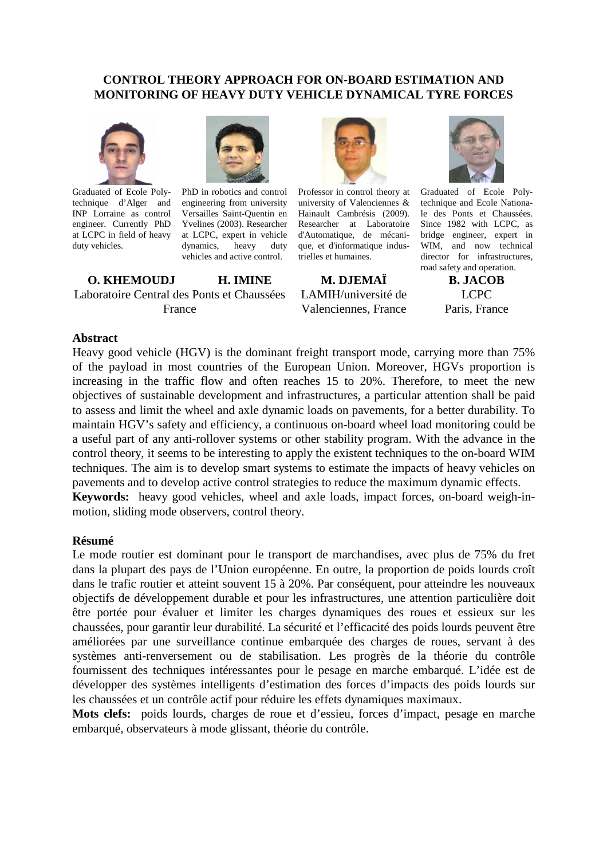## **CONTROL THEORY APPROACH FOR ON-BOARD ESTIMATION AND MONITORING OF HEAVY DUTY VEHICLE DYNAMICAL TYRE FORCES**



Graduated of Ecole Polytechnique d'Alger and INP Lorraine as control engineer. Currently PhD at LCPC in field of heavy duty vehicles.



PhD in robotics and control engineering from university Versailles Saint-Quentin en Yvelines (2003). Researcher at LCPC, expert in vehicle dynamics, heavy duty vehicles and active control.

**O. KHEMOUDJ H. IMINE**  Laboratoire Central des Ponts et Chaussées France



Professor in control theory at university of Valenciennes & Hainault Cambrésis (2009). Researcher at Laboratoire d'Automatique, de mécanique, et d'informatique industrielles et humaines.

**M. DJEMAÏ**  LAMIH/université de Valenciennes, France



Graduated of Ecole Polytechnique and Ecole Nationale des Ponts et Chaussées. Since 1982 with LCPC, as bridge engineer, expert in WIM, and now technical director for infrastructures, road safety and operation.

**B. JACOB**  LCPC Paris, France

#### **Abstract**

Heavy good vehicle (HGV) is the dominant freight transport mode, carrying more than 75% of the payload in most countries of the European Union. Moreover, HGVs proportion is increasing in the traffic flow and often reaches 15 to 20%. Therefore, to meet the new objectives of sustainable development and infrastructures, a particular attention shall be paid to assess and limit the wheel and axle dynamic loads on pavements, for a better durability. To maintain HGV's safety and efficiency, a continuous on-board wheel load monitoring could be a useful part of any anti-rollover systems or other stability program. With the advance in the control theory, it seems to be interesting to apply the existent techniques to the on-board WIM techniques. The aim is to develop smart systems to estimate the impacts of heavy vehicles on pavements and to develop active control strategies to reduce the maximum dynamic effects. **Keywords:** heavy good vehicles, wheel and axle loads, impact forces, on-board weigh-in-

motion, sliding mode observers, control theory.

#### **Résumé**

Le mode routier est dominant pour le transport de marchandises, avec plus de 75% du fret dans la plupart des pays de l'Union européenne. En outre, la proportion de poids lourds croît dans le trafic routier et atteint souvent 15 à 20%. Par conséquent, pour atteindre les nouveaux objectifs de développement durable et pour les infrastructures, une attention particulière doit être portée pour évaluer et limiter les charges dynamiques des roues et essieux sur les chaussées, pour garantir leur durabilité. La sécurité et l'efficacité des poids lourds peuvent être améliorées par une surveillance continue embarquée des charges de roues, servant à des systèmes anti-renversement ou de stabilisation. Les progrès de la théorie du contrôle fournissent des techniques intéressantes pour le pesage en marche embarqué. L'idée est de développer des systèmes intelligents d'estimation des forces d'impacts des poids lourds sur les chaussées et un contrôle actif pour réduire les effets dynamiques maximaux.

**Mots clefs:** poids lourds, charges de roue et d'essieu, forces d'impact, pesage en marche embarqué, observateurs à mode glissant, théorie du contrôle.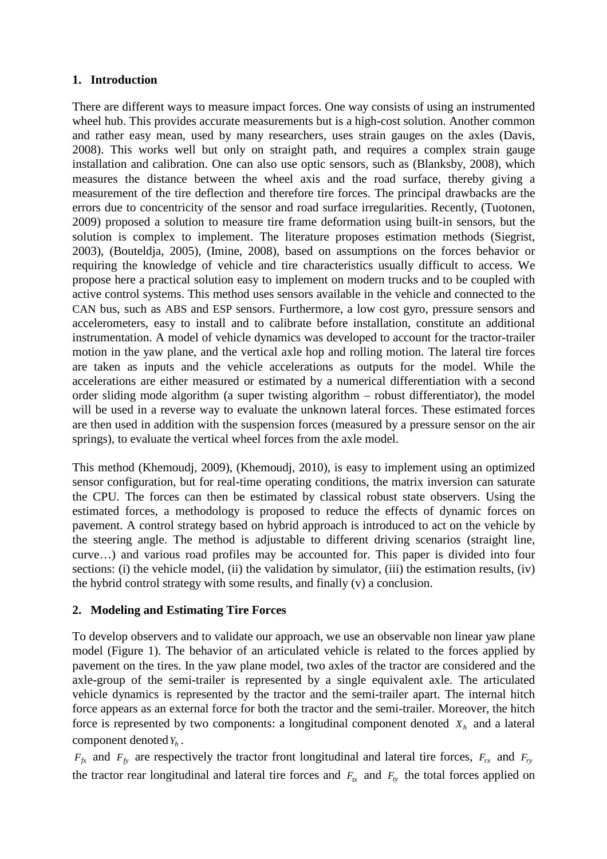# **1. Introduction**

There are different ways to measure impact forces. One way consists of using an instrumented wheel hub. This provides accurate measurements but is a high-cost solution. Another common and rather easy mean, used by many researchers, uses strain gauges on the axles (Davis, 2008). This works well but only on straight path, and requires a complex strain gauge installation and calibration. One can also use optic sensors, such as (Blanksby, 2008), which measures the distance between the wheel axis and the road surface, thereby giving a measurement of the tire deflection and therefore tire forces. The principal drawbacks are the errors due to concentricity of the sensor and road surface irregularities. Recently, (Tuotonen, 2009) proposed a solution to measure tire frame deformation using built-in sensors, but the solution is complex to implement. The literature proposes estimation methods (Siegrist, 2003), (Bouteldja, 2005), (Imine, 2008), based on assumptions on the forces behavior or requiring the knowledge of vehicle and tire characteristics usually difficult to access. We propose here a practical solution easy to implement on modern trucks and to be coupled with active control systems. This method uses sensors available in the vehicle and connected to the CAN bus, such as ABS and ESP sensors. Furthermore, a low cost gyro, pressure sensors and accelerometers, easy to install and to calibrate before installation, constitute an additional instrumentation. A model of vehicle dynamics was developed to account for the tractor-trailer motion in the yaw plane, and the vertical axle hop and rolling motion. The lateral tire forces are taken as inputs and the vehicle accelerations as outputs for the model. While the accelerations are either measured or estimated by a numerical differentiation with a second order sliding mode algorithm (a super twisting algorithm – robust differentiator), the model will be used in a reverse way to evaluate the unknown lateral forces. These estimated forces are then used in addition with the suspension forces (measured by a pressure sensor on the air springs), to evaluate the vertical wheel forces from the axle model.

This method (Khemoudj, 2009), (Khemoudj, 2010), is easy to implement using an optimized sensor configuration, but for real-time operating conditions, the matrix inversion can saturate the CPU. The forces can then be estimated by classical robust state observers. Using the estimated forces, a methodology is proposed to reduce the effects of dynamic forces on pavement. A control strategy based on hybrid approach is introduced to act on the vehicle by the steering angle. The method is adjustable to different driving scenarios (straight line, curve…) and various road profiles may be accounted for. This paper is divided into four sections: (i) the vehicle model, (ii) the validation by simulator, (iii) the estimation results, (iv) the hybrid control strategy with some results, and finally (v) a conclusion.

# **2. Modeling and Estimating Tire Forces**

To develop observers and to validate our approach, we use an observable non linear yaw plane model (Figure 1). The behavior of an articulated vehicle is related to the forces applied by pavement on the tires. In the yaw plane model, two axles of the tractor are considered and the axle-group of the semi-trailer is represented by a single equivalent axle. The articulated vehicle dynamics is represented by the tractor and the semi-trailer apart. The internal hitch force appears as an external force for both the tractor and the semi-trailer. Moreover, the hitch force is represented by two components: a longitudinal component denoted  $X_h$  and a lateral component denoted*Y<sup>h</sup>* .

 $F_f$ <sup>*x*</sup> and  $F_f$ <sup>*x*</sup> are respectively the tractor front longitudinal and lateral tire forces,  $F_{rx}$  and  $F_{ry}$ the tractor rear longitudinal and lateral tire forces and  $F_{tx}$  and  $F_{ty}$  the total forces applied on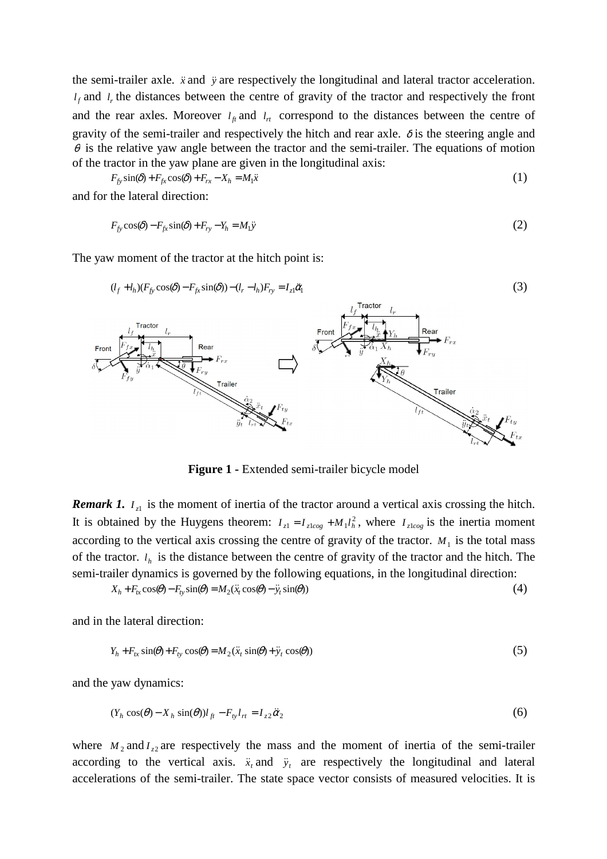the semi-trailer axle.  $\ddot{x}$  and  $\ddot{y}$  are respectively the longitudinal and lateral tractor acceleration.  $l_f$  and  $l_r$ , the distances between the centre of gravity of the tractor and respectively the front and the rear axles. Moreover  $l_f$  and  $l_f$  correspond to the distances between the centre of gravity of the semi-trailer and respectively the hitch and rear axle.  $\delta$  is the steering angle and  $\theta$  is the relative yaw angle between the tractor and the semi-trailer. The equations of motion of the tractor in the yaw plane are given in the longitudinal axis:

$$
F_{f_y} \sin(\delta) + F_{f_x} \cos(\delta) + F_{rx} - X_h = M_1 \ddot{x}
$$
\n(1)

and for the lateral direction:

$$
F_{f_y} \cos(\delta) - F_{f_x} \sin(\delta) + F_{ry} - Y_h = M_1 \ddot{y}
$$
\n<sup>(2)</sup>

The yaw moment of the tractor at the hitch point is:



**Figure 1 -** Extended semi-trailer bicycle model

*Remark 1.*  $I_{z1}$  is the moment of inertia of the tractor around a vertical axis crossing the hitch. It is obtained by the Huygens theorem:  $I_{z1} = I_{z\text{log}} + M_1 l_h^2$ , where  $I_{z\text{log}}$  is the inertia moment according to the vertical axis crossing the centre of gravity of the tractor.  $M_1$  is the total mass of the tractor.  $l_h$  is the distance between the centre of gravity of the tractor and the hitch. The semi-trailer dynamics is governed by the following equations, in the longitudinal direction:

$$
X_h + F_{tx}\cos(\theta) - F_{ty}\sin(\theta) = M_2(\ddot{x}_t\cos(\theta) - \ddot{y}_t\sin(\theta))
$$
\n<sup>(4)</sup>

and in the lateral direction:

$$
Y_h + F_{tx} \sin(\theta) + F_{ty} \cos(\theta) = M_2(\ddot{x}_t \sin(\theta) + \ddot{y}_t \cos(\theta))
$$
\n<sup>(5)</sup>

and the yaw dynamics:

$$
(Y_h \cos(\theta) - X_h \sin(\theta))l_{ft} - F_{ty}l_{rt} = I_{z2}\ddot{\alpha}_2
$$
\n
$$
(6)
$$

where  $M_2$  and  $I_{z2}$  are respectively the mass and the moment of inertia of the semi-trailer according to the vertical axis.  $\ddot{x}$  and  $\ddot{y}$  are respectively the longitudinal and lateral accelerations of the semi-trailer. The state space vector consists of measured velocities. It is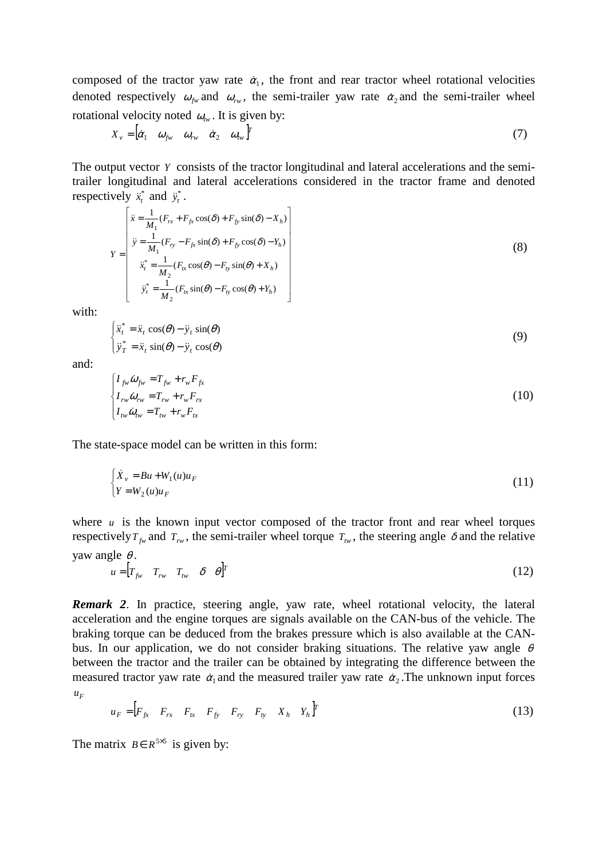composed of the tractor yaw rate  $\dot{\alpha}_1$ , the front and rear tractor wheel rotational velocities denoted respectively  $\omega_{f_w}$  and  $\omega_{r_w}$ , the semi-trailer yaw rate  $\dot{\alpha}_2$  and the semi-trailer wheel rotational velocity noted  $\omega_{tw}$ . It is given by:

$$
X_{v} = \begin{bmatrix} \dot{\alpha}_1 & \omega_{fw} & \dot{\alpha}_2 & \omega_{fw} \end{bmatrix}^T
$$
 (7)

The output vector *Y* consists of the tractor longitudinal and lateral accelerations and the semitrailer longitudinal and lateral accelerations considered in the tractor frame and denoted respectively  $\ddot{x}^*$  and  $\ddot{y}^*$ .

$$
Y = \begin{bmatrix} \ddot{x} = \frac{1}{M_1} (F_{rx} + F_{fx} \cos(\delta) + F_{fy} \sin(\delta) - X_h) \\ \ddot{y} = \frac{1}{M_1} (F_{ry} - F_{fx} \sin(\delta) + F_{fy} \cos(\delta) - Y_h) \\ \ddot{x}_t^* = \frac{1}{M_2} (F_{tx} \cos(\theta) - F_{ty} \sin(\theta) + X_h) \\ \ddot{y}_t^* = \frac{1}{M_2} (F_{tx} \sin(\theta) - F_{ty} \cos(\theta) + Y_h) \end{bmatrix}
$$
(8)

with:

$$
\begin{cases}\n\ddot{x}_t^* = \ddot{x}_t \cos(\theta) - \ddot{y}_t \sin(\theta) \\
\ddot{y}_T^* = \ddot{x}_t \sin(\theta) - \ddot{y}_t \cos(\theta)\n\end{cases}
$$
\n(9)

and:

$$
\begin{cases}\nI_{f_W}\dot{\omega}_{f_W} = T_{f_W} + r_w F_{f_X} \\
I_{rw}\dot{\omega}_{rw} = T_{rw} + r_w F_{rx} \\
I_{tw}\dot{\omega}_{rw} = T_w + r_w F_{tx}\n\end{cases} \tag{10}
$$

The state-space model can be written in this form:

$$
\begin{cases}\n\dot{X}_v = Bu + W_1(u)u_F \\
Y = W_2(u)u_F\n\end{cases}
$$
\n(11)

where  $u$  is the known input vector composed of the tractor front and rear wheel torques respectively  $T_{fw}$  and  $T_{rw}$ , the semi-trailer wheel torque  $T_{rw}$ , the steering angle  $\delta$  and the relative yaw angle  $\theta$ .

$$
u = [T_{f_W} \quad T_{rw} \quad \delta \quad \theta]^T
$$
 (12)

*Remark 2*. In practice, steering angle, yaw rate, wheel rotational velocity, the lateral acceleration and the engine torques are signals available on the CAN-bus of the vehicle. The braking torque can be deduced from the brakes pressure which is also available at the CANbus. In our application, we do not consider braking situations. The relative yaw angle  $\theta$ between the tractor and the trailer can be obtained by integrating the difference between the measured tractor yaw rate  $\dot{\alpha}_1$  and the measured trailer yaw rate  $\dot{\alpha}_2$ . The unknown input forces  $u_F$ 

$$
u_F = \begin{bmatrix} F_{fx} & F_{rx} & F_{tx} & F_{fy} & F_{ry} & F_{ty} & X_h & Y_h \end{bmatrix}^T
$$
 (13)

The matrix  $B \in R^{5\times 5}$  is given by: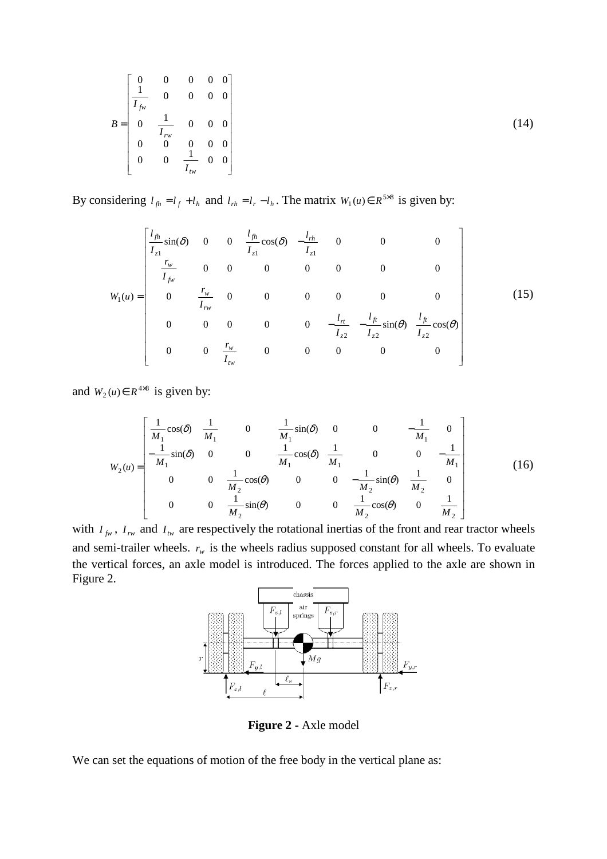$$
B = \begin{bmatrix} 0 & 0 & 0 & 0 & 0 \\ \frac{1}{I_{fw}} & 0 & 0 & 0 & 0 \\ 0 & \frac{1}{I_{rw}} & 0 & 0 & 0 \\ 0 & 0 & 0 & 0 & 0 \\ 0 & 0 & \frac{1}{I_{rw}} & 0 & 0 \end{bmatrix}
$$
(14)

By considering  $l_{fh} = l_f + l_h$  and  $l_{rh} = l_r - l_h$ . The matrix  $W_1(u) \in R^{5 \times 8}$  is given by:

$$
W_{1}(u) = \begin{bmatrix} \frac{l_{fh}}{I_{z1}} \sin(\delta) & 0 & 0 & \frac{l_{fh}}{I_{z1}} \cos(\delta) & -\frac{l_{rh}}{I_{z1}} & 0 & 0 & 0 \\ \frac{r_{w}}{I_{fw}} & 0 & 0 & 0 & 0 & 0 & 0 \\ 0 & \frac{r_{w}}{I_{rw}} & 0 & 0 & 0 & 0 & 0 & 0 \\ 0 & 0 & 0 & 0 & 0 & -\frac{l_{rt}}{I_{z2}} & -\frac{l_{ft}}{I_{z2}} \sin(\theta) & \frac{l_{ft}}{I_{z2}} \cos(\theta) \\ 0 & 0 & \frac{r_{w}}{I_{rw}} & 0 & 0 & 0 & 0 & 0 \end{bmatrix}
$$
(15)

and  $W_2(u) \in R^{4 \times 8}$  is given by:

$$
W_{2}(u) = \begin{bmatrix} \frac{1}{M_{1}}\cos(\delta) & \frac{1}{M_{1}} & 0 & \frac{1}{M_{1}}\sin(\delta) & 0 & 0 & -\frac{1}{M_{1}} & 0\\ -\frac{1}{M_{1}}\sin(\delta) & 0 & 0 & \frac{1}{M_{1}}\cos(\delta) & \frac{1}{M_{1}} & 0 & 0 & -\frac{1}{M_{1}}\\ 0 & 0 & \frac{1}{M_{2}}\cos(\theta) & 0 & 0 & -\frac{1}{M_{2}}\sin(\theta) & \frac{1}{M_{2}} & 0\\ 0 & 0 & \frac{1}{M_{2}}\sin(\theta) & 0 & 0 & \frac{1}{M_{2}}\cos(\theta) & 0 & \frac{1}{M_{2}} \end{bmatrix}
$$
(16)

with  $I_{fw}$ ,  $I_{rw}$  and  $I_{lw}$  are respectively the rotational inertias of the front and rear tractor wheels and semi-trailer wheels.  $r_w$  is the wheels radius supposed constant for all wheels. To evaluate the vertical forces, an axle model is introduced. The forces applied to the axle are shown in Figure 2.



**Figure 2 -** Axle model

We can set the equations of motion of the free body in the vertical plane as: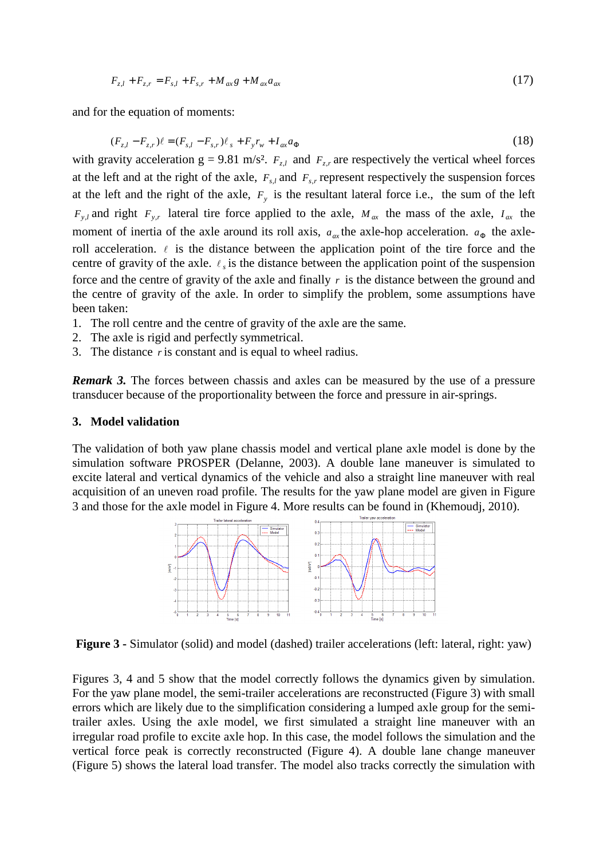$$
F_{z,l} + F_{z,r} = F_{s,l} + F_{s,r} + M_{ax}g + M_{ax}a_{ax}
$$
\n(17)

and for the equation of moments:

$$
(F_{z,l} - F_{z,r})\ell = (F_{s,l} - F_{s,r})\ell_s + F_y r_w + I_{ax} a_{\Phi}
$$
\n(18)

with gravity acceleration  $g = 9.81$  m/s<sup>2</sup>.  $F_{z,l}$  and  $F_{z,r}$  are respectively the vertical wheel forces at the left and at the right of the axle,  $F_{s,l}$  and  $F_{s,r}$  represent respectively the suspension forces at the left and the right of the axle,  $F_y$  is the resultant lateral force i.e., the sum of the left  $F_{y,l}$  and right  $F_{y,r}$  lateral tire force applied to the axle,  $M_{ax}$  the mass of the axle,  $I_{ax}$  the moment of inertia of the axle around its roll axis,  $a_{ax}$  the axle-hop acceleration.  $a_{\Phi}$  the axleroll acceleration.  $\ell$  is the distance between the application point of the tire force and the centre of gravity of the axle.  $\ell_s$  is the distance between the application point of the suspension force and the centre of gravity of the axle and finally *r* is the distance between the ground and the centre of gravity of the axle. In order to simplify the problem, some assumptions have been taken:

- 1. The roll centre and the centre of gravity of the axle are the same.
- 2. The axle is rigid and perfectly symmetrical.
- 3. The distance *r* is constant and is equal to wheel radius.

*Remark 3.* The forces between chassis and axles can be measured by the use of a pressure transducer because of the proportionality between the force and pressure in air-springs.

## **3. Model validation**

The validation of both yaw plane chassis model and vertical plane axle model is done by the simulation software PROSPER (Delanne, 2003). A double lane maneuver is simulated to excite lateral and vertical dynamics of the vehicle and also a straight line maneuver with real acquisition of an uneven road profile. The results for the yaw plane model are given in Figure 3 and those for the axle model in Figure 4. More results can be found in (Khemoudj, 2010).



**Figure 3 -** Simulator (solid) and model (dashed) trailer accelerations (left: lateral, right: yaw)

Figures 3, 4 and 5 show that the model correctly follows the dynamics given by simulation. For the yaw plane model, the semi-trailer accelerations are reconstructed (Figure 3) with small errors which are likely due to the simplification considering a lumped axle group for the semitrailer axles. Using the axle model, we first simulated a straight line maneuver with an irregular road profile to excite axle hop. In this case, the model follows the simulation and the vertical force peak is correctly reconstructed (Figure 4). A double lane change maneuver (Figure 5) shows the lateral load transfer. The model also tracks correctly the simulation with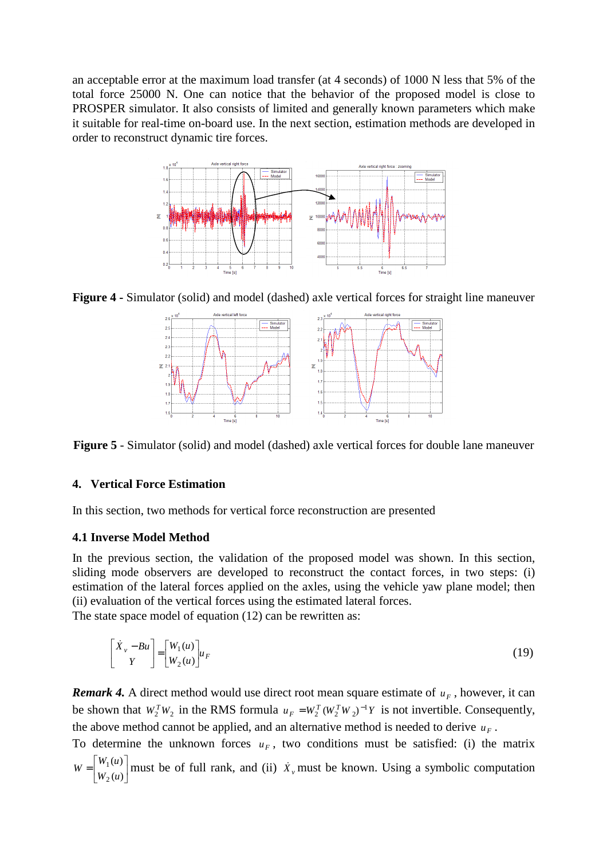an acceptable error at the maximum load transfer (at 4 seconds) of 1000 N less that 5% of the total force 25000 N. One can notice that the behavior of the proposed model is close to PROSPER simulator. It also consists of limited and generally known parameters which make it suitable for real-time on-board use. In the next section, estimation methods are developed in order to reconstruct dynamic tire forces.



**Figure 4 -** Simulator (solid) and model (dashed) axle vertical forces for straight line maneuver



**Figure 5** - Simulator (solid) and model (dashed) axle vertical forces for double lane maneuver

# **4. Vertical Force Estimation**

In this section, two methods for vertical force reconstruction are presented

# **4.1 Inverse Model Method**

In the previous section, the validation of the proposed model was shown. In this section, sliding mode observers are developed to reconstruct the contact forces, in two steps: (i) estimation of the lateral forces applied on the axles, using the vehicle yaw plane model; then (ii) evaluation of the vertical forces using the estimated lateral forces.

The state space model of equation (12) can be rewritten as:

$$
\begin{bmatrix} \dot{X}_v - Bu \\ Y \end{bmatrix} = \begin{bmatrix} W_1(u) \\ W_2(u) \end{bmatrix} u_F
$$
 (19)

*Remark 4.* A direct method would use direct root mean square estimate of  $u_F$ , however, it can be shown that  $W_2^T W_2$  in the RMS formula  $u_F = W_2^T (W_2^T W_2)^{-1} Y$  is not invertible. Consequently, the above method cannot be applied, and an alternative method is needed to derive  $u_F$ .

To determine the unknown forces  $u_F$ , two conditions must be satisfied: (i) the matrix  $\overline{\phantom{a}}$ 1  $\overline{\phantom{a}}$ Γ  $=\Big|_{W_2(u)}^{W_1(u)}$  $(u)$ 2 1  $W_2(u)$  $W = \begin{bmatrix} W_1(u) \\ W_2(u) \end{bmatrix}$  must be of full rank, and (ii)  $\dot{X}_y$  must be known. Using a symbolic computation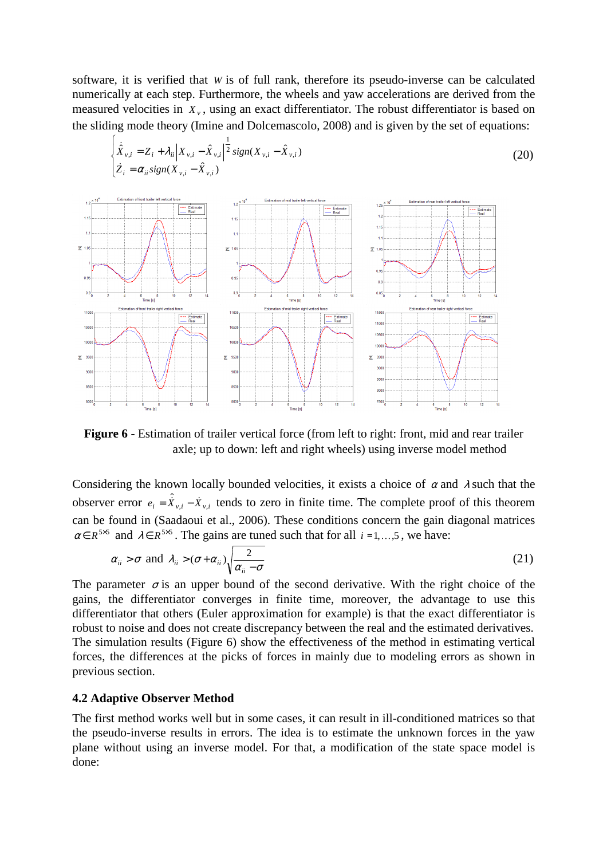software, it is verified that *W* is of full rank, therefore its pseudo-inverse can be calculated numerically at each step. Furthermore, the wheels and yaw accelerations are derived from the measured velocities in  $X_{\nu}$ , using an exact differentiator. The robust differentiator is based on the sliding mode theory (Imine and Dolcemascolo, 2008) and is given by the set of equations:

1



Figure 6 - Estimation of trailer vertical force (from left to right: front, mid and rear trailer axle; up to down: left and right wheels) using inverse model method

Considering the known locally bounded velocities, it exists a choice of  $\alpha$  and  $\lambda$  such that the observer error  $e_i = \hat{X}_{v,i} - \hat{X}_{v,i}$  tends to zero in finite time. The complete proof of this theorem can be found in (Saadaoui et al., 2006). These conditions concern the gain diagonal matrices  $\alpha \in R^{5\times 5}$  and  $\lambda \in R^{5\times 5}$ . The gains are tuned such that for all  $i = 1, ..., 5$ , we have:

$$
\alpha_{ii} > \sigma
$$
 and  $\lambda_{ii} > (\sigma + \alpha_{ii}) \sqrt{\frac{2}{\alpha_{ii} - \sigma}}$  (21)

The parameter  $\sigma$  is an upper bound of the second derivative. With the right choice of the gains, the differentiator converges in finite time, moreover, the advantage to use this differentiator that others (Euler approximation for example) is that the exact differentiator is robust to noise and does not create discrepancy between the real and the estimated derivatives. The simulation results (Figure 6) show the effectiveness of the method in estimating vertical forces, the differences at the picks of forces in mainly due to modeling errors as shown in previous section.

### **4.2 Adaptive Observer Method**

 $\int$ 

The first method works well but in some cases, it can result in ill-conditioned matrices so that the pseudo-inverse results in errors. The idea is to estimate the unknown forces in the yaw plane without using an inverse model. For that, a modification of the state space model is done: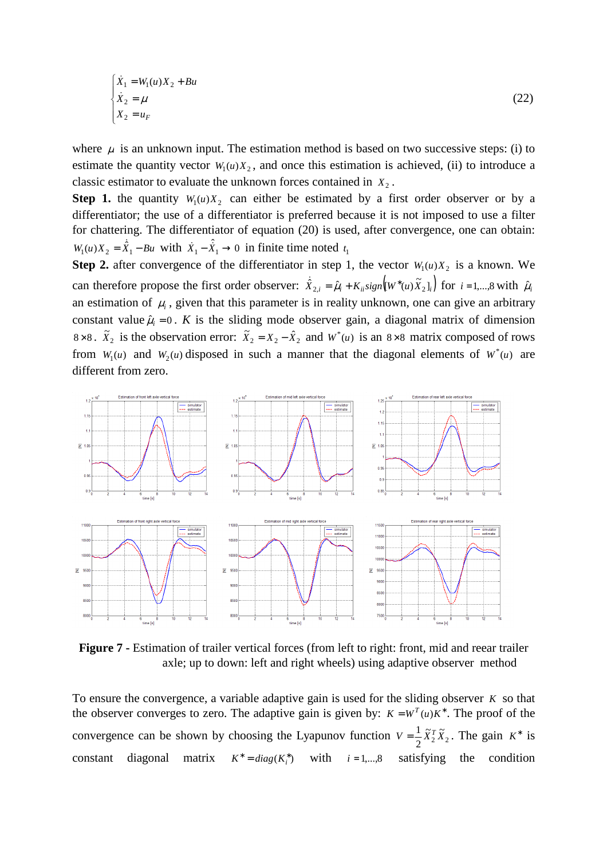$$
\begin{cases}\n\dot{X}_1 = W_1(u)X_2 + Bu \\
\dot{X}_2 = \mu \\
X_2 = u_F\n\end{cases}
$$
\n(22)

where  $\mu$  is an unknown input. The estimation method is based on two successive steps: (i) to estimate the quantity vector  $W_1(u)X_2$ , and once this estimation is achieved, (ii) to introduce a classic estimator to evaluate the unknown forces contained in  $X_2$ .

**Step 1.** the quantity  $W_1(u)X_2$  can either be estimated by a first order observer or by a differentiator; the use of a differentiator is preferred because it is not imposed to use a filter for chattering. The differentiator of equation (20) is used, after convergence, one can obtain:  $W_1(u)X_2 = \hat{X}_1 - Bu$  $\hat{\vec{X}}_1 - Bu$  with  $\hat{X}_1 - \hat{\vec{X}}_1 \rightarrow 0$  in finite time noted  $t_1$ 

**Step 2.** after convergence of the differentiator in step 1, the vector  $W_1(u)X_2$  is a known. We can therefore propose the first order observer:  $\dot{\hat{X}}_{2,i} = \hat{\mu}_i + K_{ii} sign([W^*(u)\tilde{X}_2]_i)$  $\hat{\hat{X}}_{2,i} = \hat{\mu}_i + K_{ii} sign\left(\left[W^*(u)\tilde{X}_2\right]_i\right)$  for  $i = 1,...,8$  with  $\hat{\mu}_i$ an estimation of  $\mu$ <sub>i</sub>, given that this parameter is in reality unknown, one can give an arbitrary constant value  $\hat{\mu}_i = 0$ . *K* is the sliding mode observer gain, a diagonal matrix of dimension 8×8.  $\tilde{X}_2$  is the observation error:  $\tilde{X}_2 = X_2 - \hat{X}_2$  and  $W^*(u)$  is an 8×8 matrix composed of rows from  $W_1(u)$  and  $W_2(u)$  disposed in such a manner that the diagonal elements of  $W^*(u)$  are different from zero.



**Figure 7 -** Estimation of trailer vertical forces (from left to right: front, mid and reear trailer axle; up to down: left and right wheels) using adaptive observer method

To ensure the convergence, a variable adaptive gain is used for the sliding observer *K* so that the observer converges to zero. The adaptive gain is given by:  $K = W^T(u)K^*$ . The proof of the convergence can be shown by choosing the Lyapunov function  $V = \frac{1}{2} \tilde{X}_2^T \tilde{X}_2$ 2  $V = \frac{1}{2} \tilde{X}_2^T \tilde{X}_2$ . The gain  $K^*$  is constant diagonal matrix  $K^* = diag(K_i^*)$ with  $i = 1,...,8$  satisfying the condition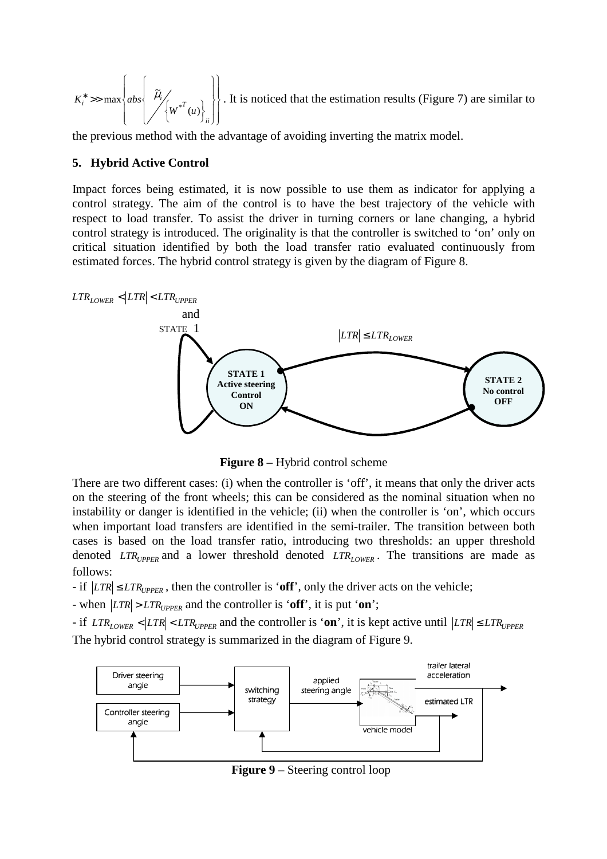$\overline{\phantom{a}}$ J  $\Big\}$  $\left\{ \right\}$  $\mathcal{I}$  $\overline{\phantom{a}}$  $\mathfrak{c}$  $\vert$ ∤  $\int$  $\frac{1}{2}$ J  $\frac{1}{2}$  $\left\{ \right.$ 1  $\frac{1}{2}$  $\overline{a}$  $\frac{1}{2}$ ∤  $\int$  $\bigg\}$  $\mu_i$  >> max abs  $\mu_i$ *ii*  $\begin{cases} \n\frac{1}{i} \quad \text{for } i \leq n \\ \n\frac{1}{i} \quad \text{for } i \leq n \n\end{cases}$  $K_i^* \gg \max \{abs$  $(u)$  $\tilde{r}$  $\max \left\{ abs \right\} \left\| \mu_i \right\|_{W^*}$  $\mu_{_{i}}$ . It is noticed that the estimation results (Figure 7) are similar to

the previous method with the advantage of avoiding inverting the matrix model.

## **5. Hybrid Active Control**

Impact forces being estimated, it is now possible to use them as indicator for applying a control strategy. The aim of the control is to have the best trajectory of the vehicle with respect to load transfer. To assist the driver in turning corners or lane changing, a hybrid control strategy is introduced. The originality is that the controller is switched to 'on' only on critical situation identified by both the load transfer ratio evaluated continuously from estimated forces. The hybrid control strategy is given by the diagram of Figure 8.



**Figure 8** – Hybrid control scheme

There are two different cases: (i) when the controller is 'off', it means that only the driver acts on the steering of the front wheels; this can be considered as the nominal situation when no instability or danger is identified in the vehicle; (ii) when the controller is 'on', which occurs when important load transfers are identified in the semi-trailer. The transition between both cases is based on the load transfer ratio, introducing two thresholds: an upper threshold denoted *LTR*<sub>UPPER</sub> and a lower threshold denoted *LTR*<sub>LOWER</sub>. The transitions are made as follows:

 $-$  if  $|LTR| \leq LTR$ <sub>*UPPER*</sub>, then the controller is 'off', only the driver acts on the vehicle;

- when  $|LTR| > LTR_{UPPER}$  and the controller is 'off', it is put 'on';

 $-$  if  $LTR_{LOWER} < |LTR| < LTR_{UPPER}$  and the controller is 'on', it is kept active until  $|LTR| \leq LTR_{UPPER}$ The hybrid control strategy is summarized in the diagram of Figure 9.



**Figure 9** – Steering control loop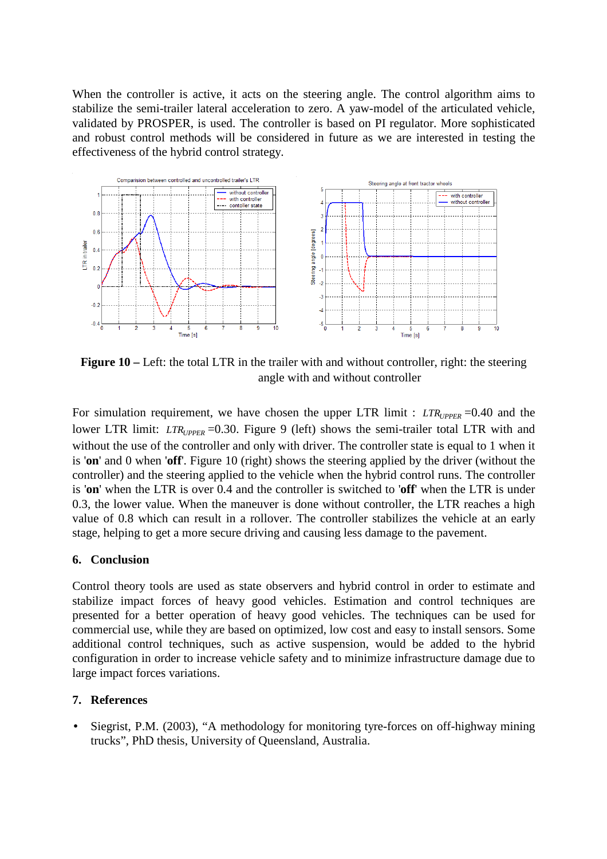When the controller is active, it acts on the steering angle. The control algorithm aims to stabilize the semi-trailer lateral acceleration to zero. A yaw-model of the articulated vehicle, validated by PROSPER, is used. The controller is based on PI regulator. More sophisticated and robust control methods will be considered in future as we are interested in testing the effectiveness of the hybrid control strategy.



**Figure 10** – Left: the total LTR in the trailer with and without controller, right: the steering angle with and without controller

For simulation requirement, we have chosen the upper LTR limit :  $LTR_{UPPER} = 0.40$  and the lower LTR limit:  $LTR_{UPPER}$  =0.30. Figure 9 (left) shows the semi-trailer total LTR with and without the use of the controller and only with driver. The controller state is equal to 1 when it is '**on**' and 0 when '**off**'. Figure 10 (right) shows the steering applied by the driver (without the controller) and the steering applied to the vehicle when the hybrid control runs. The controller is '**on**' when the LTR is over 0.4 and the controller is switched to '**off**' when the LTR is under 0.3, the lower value. When the maneuver is done without controller, the LTR reaches a high value of 0.8 which can result in a rollover. The controller stabilizes the vehicle at an early stage, helping to get a more secure driving and causing less damage to the pavement.

# **6. Conclusion**

Control theory tools are used as state observers and hybrid control in order to estimate and stabilize impact forces of heavy good vehicles. Estimation and control techniques are presented for a better operation of heavy good vehicles. The techniques can be used for commercial use, while they are based on optimized, low cost and easy to install sensors. Some additional control techniques, such as active suspension, would be added to the hybrid configuration in order to increase vehicle safety and to minimize infrastructure damage due to large impact forces variations.

## **7. References**

Siegrist, P.M. (2003), "A methodology for monitoring tyre-forces on off-highway mining trucks", PhD thesis, University of Queensland, Australia.